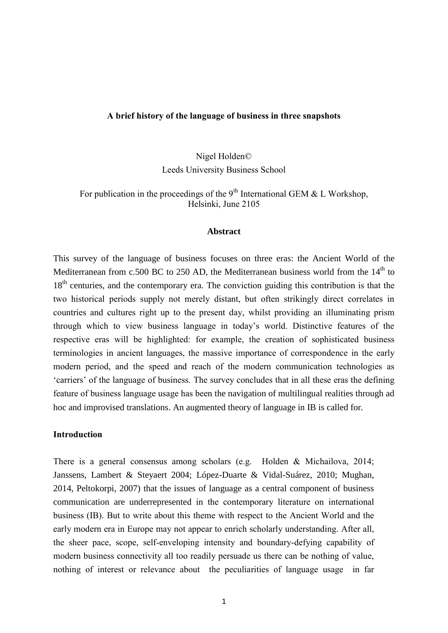#### **A brief history of the language of business in three snapshots**

Nigel Holden© Leeds University Business School

For publication in the proceedings of the 9<sup>th</sup> International GEM  $&$  L Workshop, Helsinki, June 2105

#### **Abstract**

This survey of the language of business focuses on three eras: the Ancient World of the Mediterranean from c.500 BC to 250 AD, the Mediterranean business world from the  $14<sup>th</sup>$  to 18<sup>th</sup> centuries, and the contemporary era. The conviction guiding this contribution is that the two historical periods supply not merely distant, but often strikingly direct correlates in countries and cultures right up to the present day, whilst providing an illuminating prism through which to view business language in today's world. Distinctive features of the respective eras will be highlighted: for example, the creation of sophisticated business terminologies in ancient languages, the massive importance of correspondence in the early modern period, and the speed and reach of the modern communication technologies as 'carriers' of the language of business. The survey concludes that in all these eras the defining feature of business language usage has been the navigation of multilingual realities through ad hoc and improvised translations. An augmented theory of language in IB is called for*.*

#### **Introduction**

There is a general consensus among scholars (e.g. Holden & Michailova, 2014; Janssens, Lambert & Steyaert 2004; López-Duarte & Vidal-Suárez, 2010; Mughan, 2014, Peltokorpi, 2007) that the issues of language as a central component of business communication are underrepresented in the contemporary literature on international business (IB). But to write about this theme with respect to the Ancient World and the early modern era in Europe may not appear to enrich scholarly understanding. After all, the sheer pace, scope, self-enveloping intensity and boundary-defying capability of modern business connectivity all too readily persuade us there can be nothing of value, nothing of interest or relevance about the peculiarities of language usage in far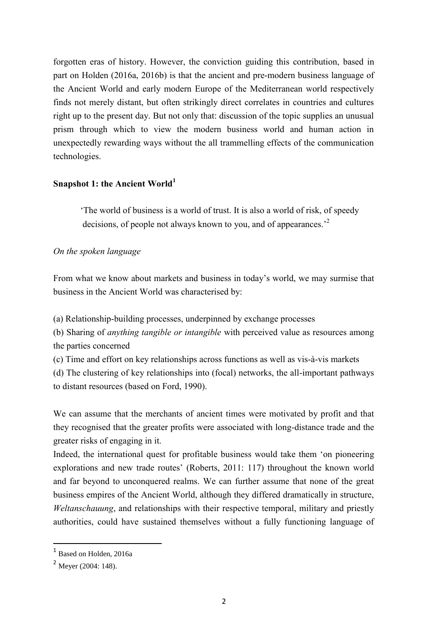forgotten eras of history. However, the conviction guiding this contribution, based in part on Holden (2016a, 2016b) is that the ancient and pre-modern business language of the Ancient World and early modern Europe of the Mediterranean world respectively finds not merely distant, but often strikingly direct correlates in countries and cultures right up to the present day. But not only that: discussion of the topic supplies an unusual prism through which to view the modern business world and human action in unexpectedly rewarding ways without the all trammelling effects of the communication technologies.

# **Snapshot 1: the Ancient World<sup>1</sup>**

'The world of business is a world of trust. It is also a world of risk, of speedy decisions, of people not always known to you, and of appearances.<sup>2</sup>

## *On the spoken language*

From what we know about markets and business in today's world, we may surmise that business in the Ancient World was characterised by:

(a) Relationship-building processes, underpinned by exchange processes

(b) Sharing of *anything tangible or intangible* with perceived value as resources among the parties concerned

(c) Time and effort on key relationships across functions as well as vis-à-vis markets

(d) The clustering of key relationships into (focal) networks, the all-important pathways to distant resources (based on Ford, 1990).

We can assume that the merchants of ancient times were motivated by profit and that they recognised that the greater profits were associated with long-distance trade and the greater risks of engaging in it.

Indeed, the international quest for profitable business would take them 'on pioneering explorations and new trade routes' (Roberts, 2011: 117) throughout the known world and far beyond to unconquered realms. We can further assume that none of the great business empires of the Ancient World, although they differed dramatically in structure, *Weltanschauung*, and relationships with their respective temporal, military and priestly authorities, could have sustained themselves without a fully functioning language of

1

<sup>&</sup>lt;sup>1</sup> Based on Holden, 2016a

<sup>2</sup> Meyer (2004: 148).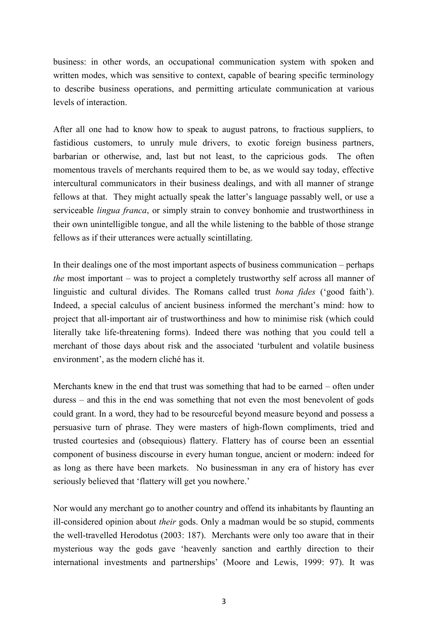business: in other words, an occupational communication system with spoken and written modes, which was sensitive to context, capable of bearing specific terminology to describe business operations, and permitting articulate communication at various levels of interaction.

After all one had to know how to speak to august patrons, to fractious suppliers, to fastidious customers, to unruly mule drivers, to exotic foreign business partners, barbarian or otherwise, and, last but not least, to the capricious gods. The often momentous travels of merchants required them to be, as we would say today, effective intercultural communicators in their business dealings, and with all manner of strange fellows at that. They might actually speak the latter's language passably well, or use a serviceable *lingua franca*, or simply strain to convey bonhomie and trustworthiness in their own unintelligible tongue, and all the while listening to the babble of those strange fellows as if their utterances were actually scintillating.

In their dealings one of the most important aspects of business communication – perhaps *the* most important – was to project a completely trustworthy self across all manner of linguistic and cultural divides. The Romans called trust *bona fides* ('good faith'). Indeed, a special calculus of ancient business informed the merchant's mind: how to project that all-important air of trustworthiness and how to minimise risk (which could literally take life-threatening forms). Indeed there was nothing that you could tell a merchant of those days about risk and the associated 'turbulent and volatile business environment', as the modern cliché has it.

Merchants knew in the end that trust was something that had to be earned – often under duress – and this in the end was something that not even the most benevolent of gods could grant. In a word, they had to be resourceful beyond measure beyond and possess a persuasive turn of phrase. They were masters of high-flown compliments, tried and trusted courtesies and (obsequious) flattery. Flattery has of course been an essential component of business discourse in every human tongue, ancient or modern: indeed for as long as there have been markets. No businessman in any era of history has ever seriously believed that 'flattery will get you nowhere.'

Nor would any merchant go to another country and offend its inhabitants by flaunting an ill-considered opinion about *their* gods. Only a madman would be so stupid, comments the well-travelled Herodotus (2003: 187). Merchants were only too aware that in their mysterious way the gods gave 'heavenly sanction and earthly direction to their international investments and partnerships' (Moore and Lewis, 1999: 97). It was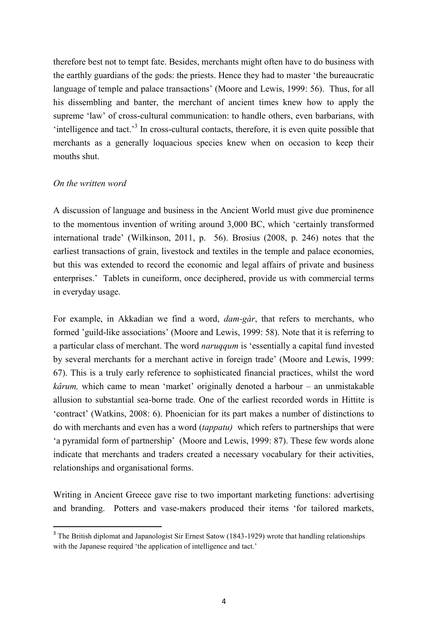therefore best not to tempt fate. Besides, merchants might often have to do business with the earthly guardians of the gods: the priests. Hence they had to master 'the bureaucratic language of temple and palace transactions' (Moore and Lewis, 1999: 56). Thus, for all his dissembling and banter, the merchant of ancient times knew how to apply the supreme 'law' of cross-cultural communication: to handle others, even barbarians, with 'intelligence and tact.<sup>3</sup> In cross-cultural contacts, therefore, it is even quite possible that merchants as a generally loquacious species knew when on occasion to keep their mouths shut.

## *On the written word*

 $\overline{a}$ 

A discussion of language and business in the Ancient World must give due prominence to the momentous invention of writing around 3,000 BC, which 'certainly transformed international trade' (Wilkinson, 2011, p. 56). Brosius (2008, p. 246) notes that the earliest transactions of grain, livestock and textiles in the temple and palace economies, but this was extended to record the economic and legal affairs of private and business enterprises.' Tablets in cuneiform, once deciphered, provide us with commercial terms in everyday usage.

For example, in Akkadian we find a word, *dam-gàr*, that refers to merchants, who formed 'guild-like associations' (Moore and Lewis, 1999: 58). Note that it is referring to a particular class of merchant. The word *naruqqum* is 'essentially a capital fund invested by several merchants for a merchant active in foreign trade' (Moore and Lewis, 1999: 67). This is a truly early reference to sophisticated financial practices, whilst the word *kârum,* which came to mean 'market' originally denoted a harbour – an unmistakable allusion to substantial sea-borne trade. One of the earliest recorded words in Hittite is 'contract' (Watkins, 2008: 6). Phoenician for its part makes a number of distinctions to do with merchants and even has a word (*tappatu)* which refers to partnerships that were 'a pyramidal form of partnership' (Moore and Lewis, 1999: 87). These few words alone indicate that merchants and traders created a necessary vocabulary for their activities, relationships and organisational forms.

Writing in Ancient Greece gave rise to two important marketing functions: advertising and branding. Potters and vase-makers produced their items 'for tailored markets,

<sup>&</sup>lt;sup>3</sup> The British diplomat and Japanologist Sir Ernest Satow (1843-1929) wrote that handling relationships with the Japanese required 'the application of intelligence and tact.'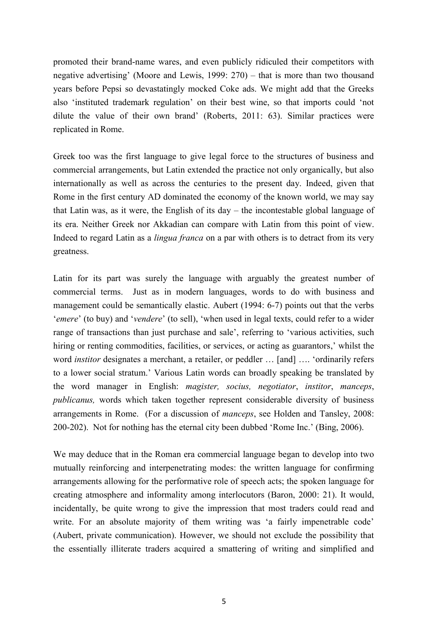promoted their brand-name wares, and even publicly ridiculed their competitors with negative advertising' (Moore and Lewis, 1999: 270) – that is more than two thousand years before Pepsi so devastatingly mocked Coke ads. We might add that the Greeks also 'instituted trademark regulation' on their best wine, so that imports could 'not dilute the value of their own brand' (Roberts, 2011: 63). Similar practices were replicated in Rome.

Greek too was the first language to give legal force to the structures of business and commercial arrangements, but Latin extended the practice not only organically, but also internationally as well as across the centuries to the present day. Indeed, given that Rome in the first century AD dominated the economy of the known world, we may say that Latin was, as it were, the English of its day – the incontestable global language of its era. Neither Greek nor Akkadian can compare with Latin from this point of view. Indeed to regard Latin as a *lingua franca* on a par with others is to detract from its very greatness.

Latin for its part was surely the language with arguably the greatest number of commercial terms. Just as in modern languages, words to do with business and management could be semantically elastic. Aubert (1994: 6-7) points out that the verbs '*emere*' (to buy) and '*vendere*' (to sell), 'when used in legal texts, could refer to a wider range of transactions than just purchase and sale', referring to 'various activities, such hiring or renting commodities, facilities, or services, or acting as guarantors,' whilst the word *institor* designates a merchant, a retailer, or peddler … [and] …. 'ordinarily refers to a lower social stratum.' Various Latin words can broadly speaking be translated by the word manager in English: *magister, socius, negotiator*, *institor*, *manceps*, *publicanus,* words which taken together represent considerable diversity of business arrangements in Rome. (For a discussion of *manceps*, see Holden and Tansley, 2008: 200-202). Not for nothing has the eternal city been dubbed 'Rome Inc.' (Bing, 2006).

We may deduce that in the Roman era commercial language began to develop into two mutually reinforcing and interpenetrating modes: the written language for confirming arrangements allowing for the performative role of speech acts; the spoken language for creating atmosphere and informality among interlocutors (Baron, 2000: 21). It would, incidentally, be quite wrong to give the impression that most traders could read and write. For an absolute majority of them writing was 'a fairly impenetrable code' (Aubert, private communication). However, we should not exclude the possibility that the essentially illiterate traders acquired a smattering of writing and simplified and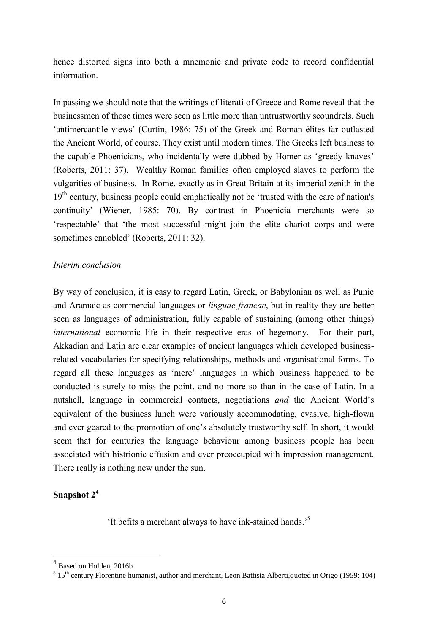hence distorted signs into both a mnemonic and private code to record confidential information.

In passing we should note that the writings of literati of Greece and Rome reveal that the businessmen of those times were seen as little more than untrustworthy scoundrels. Such 'antimercantile views' (Curtin, 1986: 75) of the Greek and Roman élites far outlasted the Ancient World, of course. They exist until modern times. The Greeks left business to the capable Phoenicians, who incidentally were dubbed by Homer as 'greedy knaves' (Roberts, 2011: 37). Wealthy Roman families often employed slaves to perform the vulgarities of business. In Rome, exactly as in Great Britain at its imperial zenith in the 19<sup>th</sup> century, business people could emphatically not be 'trusted with the care of nation's continuity' (Wiener, 1985: 70). By contrast in Phoenicia merchants were so 'respectable' that 'the most successful might join the elite chariot corps and were sometimes ennobled' (Roberts, 2011: 32).

# *Interim conclusion*

By way of conclusion, it is easy to regard Latin, Greek, or Babylonian as well as Punic and Aramaic as commercial languages or *linguae francae*, but in reality they are better seen as languages of administration, fully capable of sustaining (among other things) *international* economic life in their respective eras of hegemony. For their part, Akkadian and Latin are clear examples of ancient languages which developed businessrelated vocabularies for specifying relationships, methods and organisational forms. To regard all these languages as 'mere' languages in which business happened to be conducted is surely to miss the point, and no more so than in the case of Latin. In a nutshell, language in commercial contacts, negotiations *and* the Ancient World's equivalent of the business lunch were variously accommodating, evasive, high-flown and ever geared to the promotion of one's absolutely trustworthy self. In short, it would seem that for centuries the language behaviour among business people has been associated with histrionic effusion and ever preoccupied with impression management. There really is nothing new under the sun.

# **Snapshot 2<sup>4</sup>**

**.** 

'It befits a merchant always to have ink-stained hands.' 5

<sup>&</sup>lt;sup>4</sup> Based on Holden, 2016b

 $5 \times 15^{th}$  century Florentine humanist, author and merchant, Leon Battista Alberti, quoted in Origo (1959: 104)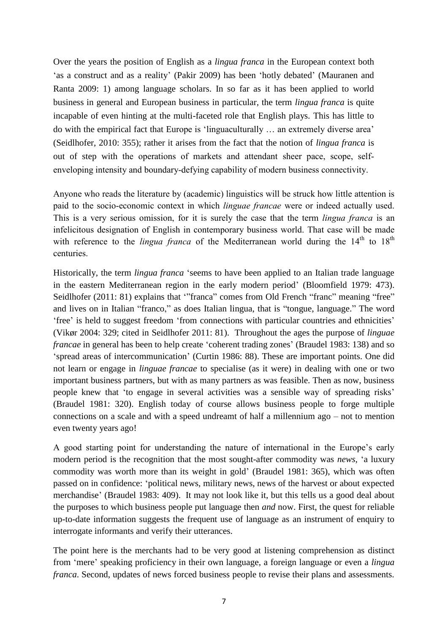Over the years the position of English as a *lingua franca* in the European context both 'as a construct and as a reality' (Pakir 2009) has been 'hotly debated' (Mauranen and Ranta 2009: 1) among language scholars. In so far as it has been applied to world business in general and European business in particular, the term *lingua franca* is quite incapable of even hinting at the multi-faceted role that English plays. This has little to do with the empirical fact that Europe is 'linguaculturally … an extremely diverse area' (Seidlhofer, 2010: 355); rather it arises from the fact that the notion of *lingua franca* is out of step with the operations of markets and attendant sheer pace, scope, selfenveloping intensity and boundary-defying capability of modern business connectivity.

Anyone who reads the literature by (academic) linguistics will be struck how little attention is paid to the socio-economic context in which *linguae francae* were or indeed actually used. This is a very serious omission, for it is surely the case that the term *lingua franca* is an infelicitous designation of English in contemporary business world. That case will be made with reference to the *lingua franca* of the Mediterranean world during the 14<sup>th</sup> to 18<sup>th</sup> centuries.

Historically, the term *lingua franca* 'seems to have been applied to an Italian trade language in the eastern Mediterranean region in the early modern period' (Bloomfield 1979: 473). Seidlhofer (2011: 81) explains that "'franca" comes from Old French "franc" meaning "free" and lives on in Italian "franco," as does Italian lingua, that is "tongue, language." The word 'free' is held to suggest freedom 'from connections with particular countries and ethnicities' (Vikør 2004: 329; cited in Seidlhofer 2011: 81). Throughout the ages the purpose of *linguae francae* in general has been to help create 'coherent trading zones' (Braudel 1983: 138) and so 'spread areas of intercommunication' (Curtin 1986: 88). These are important points. One did not learn or engage in *linguae francae* to specialise (as it were) in dealing with one or two important business partners, but with as many partners as was feasible. Then as now, business people knew that 'to engage in several activities was a sensible way of spreading risks' (Braudel 1981: 320). English today of course allows business people to forge multiple connections on a scale and with a speed undreamt of half a millennium ago – not to mention even twenty years ago!

A good starting point for understanding the nature of international in the Europe's early modern period is the recognition that the most sought-after commodity was *news*, 'a luxury commodity was worth more than its weight in gold' (Braudel 1981: 365), which was often passed on in confidence: 'political news, military news, news of the harvest or about expected merchandise' (Braudel 1983: 409). It may not look like it, but this tells us a good deal about the purposes to which business people put language then *and* now. First, the quest for reliable up-to-date information suggests the frequent use of language as an instrument of enquiry to interrogate informants and verify their utterances.

The point here is the merchants had to be very good at listening comprehension as distinct from 'mere' speaking proficiency in their own language, a foreign language or even a *lingua franca*. Second, updates of news forced business people to revise their plans and assessments.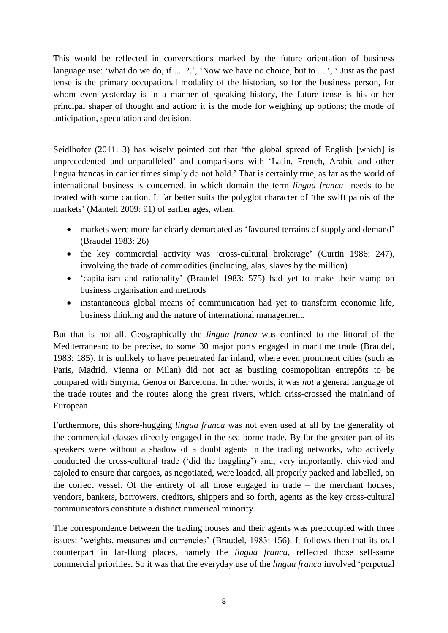This would be reflected in conversations marked by the future orientation of business language use: 'what do we do, if .... ?.', 'Now we have no choice, but to ... ', ' Just as the past tense is the primary occupational modality of the historian, so for the business person, for whom even yesterday is in a manner of speaking history, the future tense is his or her principal shaper of thought and action: it is the mode for weighing up options; the mode of anticipation, speculation and decision.

Seidlhofer (2011: 3) has wisely pointed out that 'the global spread of English [which] is unprecedented and unparalleled' and comparisons with 'Latin, French, Arabic and other lingua francas in earlier times simply do not hold.' That is certainly true, as far as the world of international business is concerned, in which domain the term *lingua franca* needs to be treated with some caution. It far better suits the polyglot character of 'the swift patois of the markets' (Mantell 2009: 91) of earlier ages, when:

- markets were more far clearly demarcated as 'favoured terrains of supply and demand' (Braudel 1983: 26)
- the key commercial activity was 'cross-cultural brokerage' (Curtin 1986: 247), involving the trade of commodities (including, alas, slaves by the million)
- 'capitalism and rationality' (Braudel 1983: 575) had yet to make their stamp on business organisation and methods
- instantaneous global means of communication had yet to transform economic life, business thinking and the nature of international management.

But that is not all. Geographically the *lingua franca* was confined to the littoral of the Mediterranean: to be precise, to some 30 major ports engaged in maritime trade (Braudel, 1983: 185). It is unlikely to have penetrated far inland, where even prominent cities (such as Paris, Madrid, Vienna or Milan) did not act as bustling cosmopolitan entrepôts to be compared with Smyrna, Genoa or Barcelona. In other words, it was *not* a general language of the trade routes and the routes along the great rivers, which criss-crossed the mainland of European.

Furthermore, this shore-hugging *lingua franca* was not even used at all by the generality of the commercial classes directly engaged in the sea-borne trade. By far the greater part of its speakers were without a shadow of a doubt agents in the trading networks, who actively conducted the cross-cultural trade ('did the haggling') and, very importantly, chivvied and cajoled to ensure that cargoes, as negotiated, were loaded, all properly packed and labelled, on the correct vessel. Of the entirety of all those engaged in trade – the merchant houses, vendors, bankers, borrowers, creditors, shippers and so forth, agents as the key cross-cultural communicators constitute a distinct numerical minority.

The correspondence between the trading houses and their agents was preoccupied with three issues: 'weights, measures and currencies' (Braudel, 1983: 156). It follows then that its oral counterpart in far-flung places, namely the *lingua franca*, reflected those self-same commercial priorities. So it was that the everyday use of the *lingua franca* involved 'perpetual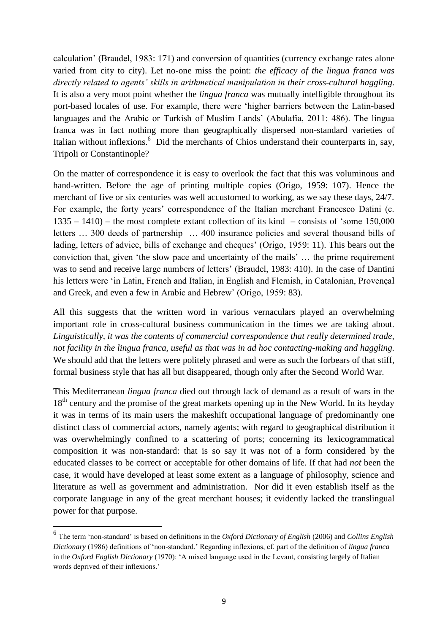calculation' (Braudel, 1983: 171) and conversion of quantities (currency exchange rates alone varied from city to city). Let no-one miss the point: *the efficacy of the lingua franca was directly related to agents' skills in arithmetical manipulation in their cross-cultural haggling.* It is also a very moot point whether the *lingua franca* was mutually intelligible throughout its port-based locales of use. For example, there were 'higher barriers between the Latin-based languages and the Arabic or Turkish of Muslim Lands' (Abulafia, 2011: 486). The lingua franca was in fact nothing more than geographically dispersed non-standard varieties of Italian without inflexions.<sup>6</sup> Did the merchants of Chios understand their counterparts in, say, Tripoli or Constantinople?

On the matter of correspondence it is easy to overlook the fact that this was voluminous and hand-written. Before the age of printing multiple copies (Origo, 1959: 107). Hence the merchant of five or six centuries was well accustomed to working, as we say these days, 24/7. For example, the forty years' correspondence of the Italian merchant Francesco Datini (c. 1335 – 1410) – the most complete extant collection of its kind – consists of 'some 150,000 letters … 300 deeds of partnership … 400 insurance policies and several thousand bills of lading, letters of advice, bills of exchange and cheques' (Origo, 1959: 11). This bears out the conviction that, given 'the slow pace and uncertainty of the mails' … the prime requirement was to send and receive large numbers of letters' (Braudel, 1983: 410). In the case of Dantini his letters were 'in Latin, French and Italian, in English and Flemish, in Catalonian, Provençal and Greek, and even a few in Arabic and Hebrew' (Origo, 1959: 83).

All this suggests that the written word in various vernaculars played an overwhelming important role in cross-cultural business communication in the times we are taking about. *Linguistically, it was the contents of commercial correspondence that really determined trade, not facility in the lingua franca, useful as that was in ad hoc contacting-making and haggling.* We should add that the letters were politely phrased and were as such the forbears of that stiff, formal business style that has all but disappeared, though only after the Second World War.

This Mediterranean *lingua franca* died out through lack of demand as a result of wars in the 18<sup>th</sup> century and the promise of the great markets opening up in the New World. In its heyday it was in terms of its main users the makeshift occupational language of predominantly one distinct class of commercial actors, namely agents; with regard to geographical distribution it was overwhelmingly confined to a scattering of ports; concerning its lexicogrammatical composition it was non-standard: that is so say it was not of a form considered by the educated classes to be correct or acceptable for other domains of life. If that had *not* been the case, it would have developed at least some extent as a language of philosophy, science and literature as well as government and administration. Nor did it even establish itself as the corporate language in any of the great merchant houses; it evidently lacked the translingual power for that purpose.

 $\overline{a}$ 

<sup>6</sup> The term 'non-standard' is based on definitions in the *Oxford Dictionary of English* (2006) and *Collins English Dictionary* (1986) definitions of 'non-standard.' Regarding inflexions, cf. part of the definition of *lingua franca* in the *Oxford English Dictionary* (1970): 'A mixed language used in the Levant, consisting largely of Italian words deprived of their inflexions.'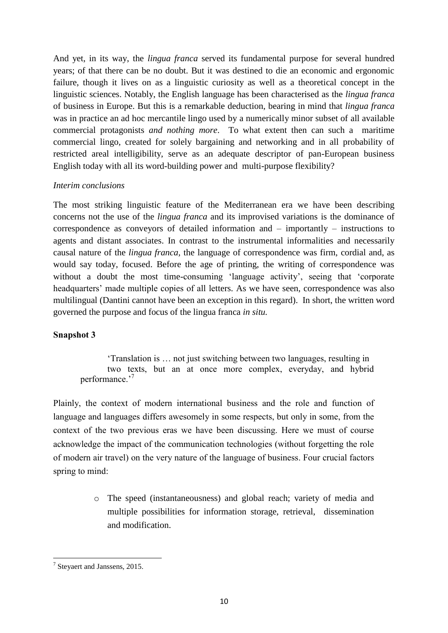And yet, in its way, the *lingua franca* served its fundamental purpose for several hundred years; of that there can be no doubt. But it was destined to die an economic and ergonomic failure, though it lives on as a linguistic curiosity as well as a theoretical concept in the linguistic sciences. Notably, the English language has been characterised as the *lingua franca* of business in Europe. But this is a remarkable deduction, bearing in mind that *lingua franca* was in practice an ad hoc mercantile lingo used by a numerically minor subset of all available commercial protagonists *and nothing more*. To what extent then can such a maritime commercial lingo, created for solely bargaining and networking and in all probability of restricted areal intelligibility, serve as an adequate descriptor of pan-European business English today with all its word-building power and multi-purpose flexibility?

# *Interim conclusions*

The most striking linguistic feature of the Mediterranean era we have been describing concerns not the use of the *lingua franca* and its improvised variations is the dominance of correspondence as conveyors of detailed information and *–* importantly – instructions to agents and distant associates. In contrast to the instrumental informalities and necessarily causal nature of the *lingua franca,* the language of correspondence was firm, cordial and, as would say today, focused. Before the age of printing, the writing of correspondence was without a doubt the most time-consuming 'language activity', seeing that 'corporate headquarters' made multiple copies of all letters. As we have seen, correspondence was also multilingual (Dantini cannot have been an exception in this regard). In short, the written word governed the purpose and focus of the lingua franca *in situ.*

# **Snapshot 3**

'Translation is … not just switching between two languages, resulting in two texts, but an at once more complex, everyday, and hybrid performance.'<sup>7</sup>

Plainly, the context of modern international business and the role and function of language and languages differs awesomely in some respects, but only in some, from the context of the two previous eras we have been discussing. Here we must of course acknowledge the impact of the communication technologies (without forgetting the role of modern air travel) on the very nature of the language of business. Four crucial factors spring to mind:

> o The speed (instantaneousness) and global reach; variety of media and multiple possibilities for information storage, retrieval, dissemination and modification.

 $\overline{a}$  $7$  Steyaert and Janssens, 2015.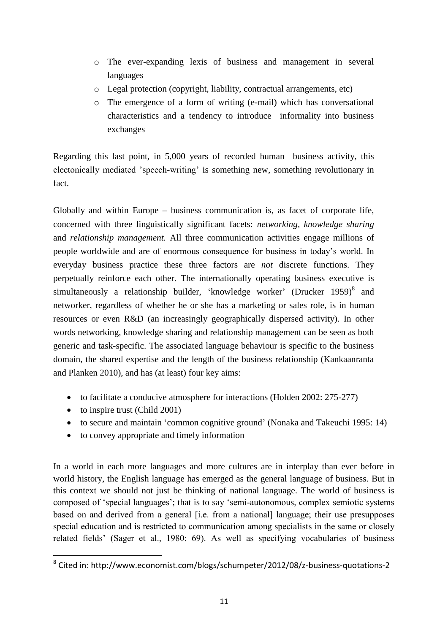- o The ever-expanding lexis of business and management in several languages
- o Legal protection (copyright, liability, contractual arrangements, etc)
- o The emergence of a form of writing (e-mail) which has conversational characteristics and a tendency to introduce informality into business exchanges

Regarding this last point, in 5,000 years of recorded human business activity, this electonically mediated 'speech-writing' is something new, something revolutionary in fact.

Globally and within Europe – business communication is, as facet of corporate life, concerned with three linguistically significant facets: *networking, knowledge sharing*  and *relationship management.* All three communication activities engage millions of people worldwide and are of enormous consequence for business in today's world. In everyday business practice these three factors are *not* discrete functions. They perpetually reinforce each other. The internationally operating business executive is simultaneously a relationship builder, 'knowledge worker' (Drucker 1959)<sup>8</sup> and networker, regardless of whether he or she has a marketing or sales role, is in human resources or even R&D (an increasingly geographically dispersed activity). In other words networking, knowledge sharing and relationship management can be seen as both generic and task-specific. The associated language behaviour is specific to the business domain, the shared expertise and the length of the business relationship (Kankaanranta and Planken 2010), and has (at least) four key aims:

- to facilitate a conducive atmosphere for interactions (Holden 2002: 275-277)
- $\bullet$  to inspire trust (Child 2001)

**.** 

- to secure and maintain 'common cognitive ground' (Nonaka and Takeuchi 1995: 14)
- to convey appropriate and timely information

In a world in each more languages and more cultures are in interplay than ever before in world history, the English language has emerged as the general language of business. But in this context we should not just be thinking of national language. The world of business is composed of 'special languages'; that is to say 'semi-autonomous, complex semiotic systems based on and derived from a general [i.e. from a national] language; their use presupposes special education and is restricted to communication among specialists in the same or closely related fields' (Sager et al., 1980: 69). As well as specifying vocabularies of business

<sup>8</sup> Cited in: http://www.economist.com/blogs/schumpeter/2012/08/z-business-quotations-2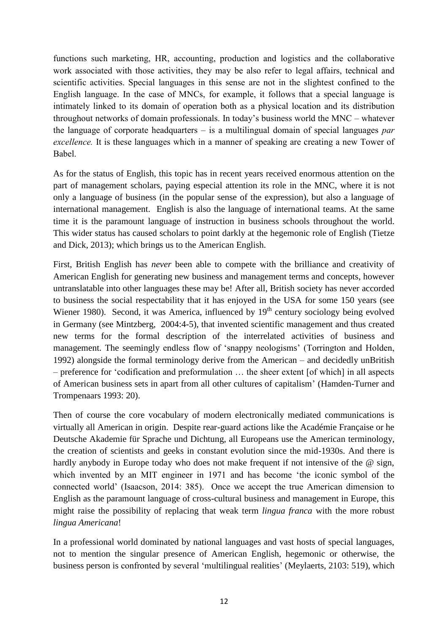functions such marketing, HR, accounting, production and logistics and the collaborative work associated with those activities, they may be also refer to legal affairs, technical and scientific activities. Special languages in this sense are not in the slightest confined to the English language. In the case of MNCs, for example, it follows that a special language is intimately linked to its domain of operation both as a physical location and its distribution throughout networks of domain professionals. In today's business world the MNC – whatever the language of corporate headquarters – is a multilingual domain of special languages *par excellence.* It is these languages which in a manner of speaking are creating a new Tower of Babel.

As for the status of English, this topic has in recent years received enormous attention on the part of management scholars, paying especial attention its role in the MNC, where it is not only a language of business (in the popular sense of the expression), but also a language of international management. English is also the language of international teams. At the same time it is the paramount language of instruction in business schools throughout the world. This wider status has caused scholars to point darkly at the hegemonic role of English (Tietze and Dick, 2013); which brings us to the American English.

First, British English has *never* been able to compete with the brilliance and creativity of American English for generating new business and management terms and concepts, however untranslatable into other languages these may be! After all, British society has never accorded to business the social respectability that it has enjoyed in the USA for some 150 years (see Wiener 1980). Second, it was America, influenced by  $19<sup>th</sup>$  century sociology being evolved in Germany (see Mintzberg, 2004:4-5), that invented scientific management and thus created new terms for the formal description of the interrelated activities of business and management. The seemingly endless flow of 'snappy neologisms' (Torrington and Holden, 1992) alongside the formal terminology derive from the American – and decidedly unBritish – preference for 'codification and preformulation … the sheer extent [of which] in all aspects of American business sets in apart from all other cultures of capitalism' (Hamden-Turner and Trompenaars 1993: 20).

Then of course the core vocabulary of modern electronically mediated communications is virtually all American in origin. Despite rear-guard actions like the Académie Française or he Deutsche Akademie für Sprache und Dichtung, all Europeans use the American terminology, the creation of scientists and geeks in constant evolution since the mid-1930s. And there is hardly anybody in Europe today who does not make frequent if not intensive of the @ sign, which invented by an MIT engineer in 1971 and has become 'the iconic symbol of the connected world' (Isaacson, 2014: 385). Once we accept the true American dimension to English as the paramount language of cross-cultural business and management in Europe, this might raise the possibility of replacing that weak term *lingua franca* with the more robust *lingua Americana*!

In a professional world dominated by national languages and vast hosts of special languages, not to mention the singular presence of American English, hegemonic or otherwise, the business person is confronted by several 'multilingual realities' (Meylaerts, 2103: 519), which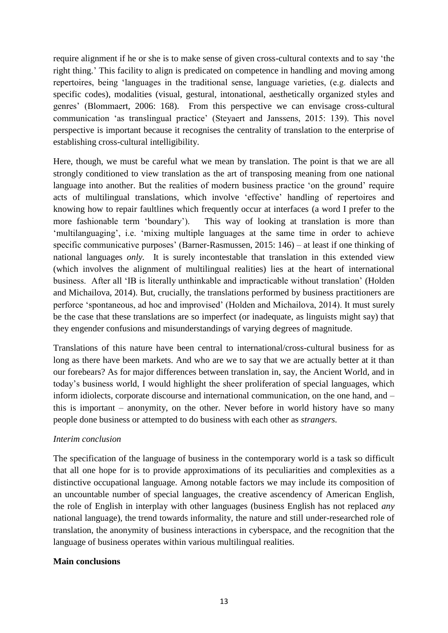require alignment if he or she is to make sense of given cross-cultural contexts and to say 'the right thing.' This facility to align is predicated on competence in handling and moving among repertoires, being 'languages in the traditional sense, language varieties, (e.g. dialects and specific codes), modalities (visual, gestural, intonational, aesthetically organized styles and genres' (Blommaert, 2006: 168). From this perspective we can envisage cross-cultural communication 'as translingual practice' (Steyaert and Janssens, 2015: 139). This novel perspective is important because it recognises the centrality of translation to the enterprise of establishing cross-cultural intelligibility.

Here, though, we must be careful what we mean by translation. The point is that we are all strongly conditioned to view translation as the art of transposing meaning from one national language into another. But the realities of modern business practice 'on the ground' require acts of multilingual translations, which involve 'effective' handling of repertoires and knowing how to repair faultlines which frequently occur at interfaces (a word I prefer to the more fashionable term 'boundary'). This way of looking at translation is more than 'multilanguaging', i.e. 'mixing multiple languages at the same time in order to achieve specific communicative purposes' (Barner-Rasmussen, 2015: 146) – at least if one thinking of national languages *only.* It is surely incontestable that translation in this extended view (which involves the alignment of multilingual realities) lies at the heart of international business. After all 'IB is literally unthinkable and impracticable without translation' (Holden and Michailova, 2014). But, crucially, the translations performed by business practitioners are perforce 'spontaneous, ad hoc and improvised' (Holden and Michailova, 2014). It must surely be the case that these translations are so imperfect (or inadequate, as linguists might say) that they engender confusions and misunderstandings of varying degrees of magnitude.

Translations of this nature have been central to international/cross-cultural business for as long as there have been markets. And who are we to say that we are actually better at it than our forebears? As for major differences between translation in, say, the Ancient World, and in today's business world, I would highlight the sheer proliferation of special languages, which inform idiolects, corporate discourse and international communication, on the one hand, and – this is important – anonymity, on the other. Never before in world history have so many people done business or attempted to do business with each other as *strangers.*

## *Interim conclusion*

The specification of the language of business in the contemporary world is a task so difficult that all one hope for is to provide approximations of its peculiarities and complexities as a distinctive occupational language. Among notable factors we may include its composition of an uncountable number of special languages, the creative ascendency of American English, the role of English in interplay with other languages (business English has not replaced *any* national language), the trend towards informality, the nature and still under-researched role of translation, the anonymity of business interactions in cyberspace, and the recognition that the language of business operates within various multilingual realities.

## **Main conclusions**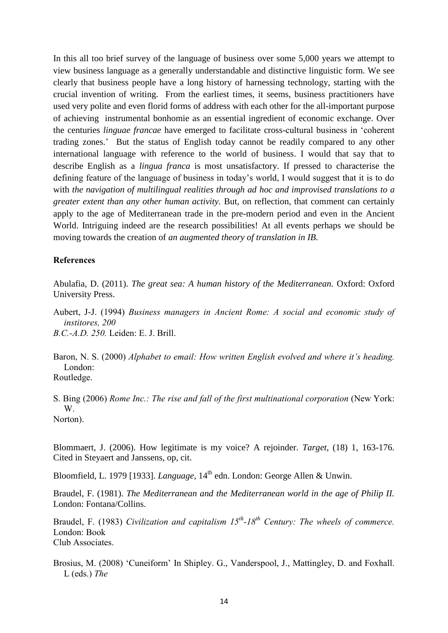In this all too brief survey of the language of business over some 5,000 years we attempt to view business language as a generally understandable and distinctive linguistic form. We see clearly that business people have a long history of harnessing technology, starting with the crucial invention of writing. From the earliest times, it seems, business practitioners have used very polite and even florid forms of address with each other for the all-important purpose of achieving instrumental bonhomie as an essential ingredient of economic exchange. Over the centuries *linguae francae* have emerged to facilitate cross-cultural business in 'coherent trading zones.' But the status of English today cannot be readily compared to any other international language with reference to the world of business. I would that say that to describe English as a *lingua franca* is most unsatisfactory. If pressed to characterise the defining feature of the language of business in today's world, I would suggest that it is to do with *the navigation of multilingual realities through ad hoc and improvised translations to a greater extent than any other human activity.* But, on reflection, that comment can certainly apply to the age of Mediterranean trade in the pre-modern period and even in the Ancient World. Intriguing indeed are the research possibilities! At all events perhaps we should be moving towards the creation of *an augmented theory of translation in IB.*

#### **References**

Abulafia, D. (2011). *The great sea: A human history of the Mediterranean.* Oxford: Oxford University Press.

Aubert, J-J. (1994) *Business managers in Ancient Rome: A social and economic study of institores, 200 B.C.-A.D. 250.* Leiden: E. J. Brill.

Baron, N. S. (2000) *Alphabet to email: How written English evolved and where it's heading.* London: Routledge.

S. Bing (2006) *Rome Inc.: The rise and fall of the first multinational corporation* (New York: W. Norton).

Blommaert, J. (2006). How legitimate is my voice? A rejoinder. *Target*, (18) 1, 163-176. Cited in Steyaert and Janssens, op, cit.

Bloomfield, L. 1979 [1933]. *Language*, 14<sup>th</sup> edn. London: George Allen & Unwin.

Braudel, F. (1981). *The Mediterranean and the Mediterranean world in the age of Philip II.* London: Fontana/Collins.

Braudel, F. (1983) *Civilization and capitalism 15th -18th Century: The wheels of commerce.*  London: Book Club Associates.

Brosius, M. (2008) 'Cuneiform' In Shipley. G., Vanderspool, J., Mattingley, D. and Foxhall. L (eds.) *The*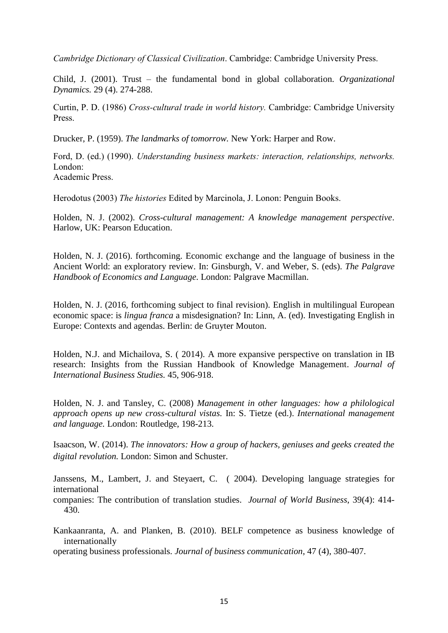*Cambridge Dictionary of Classical Civilization*. Cambridge: Cambridge University Press.

Child, J. (2001). Trust – the fundamental bond in global collaboration. *Organizational Dynamics.* 29 (4). 274-288.

Curtin, P. D. (1986) *Cross-cultural trade in world history.* Cambridge: Cambridge University Press.

Drucker, P. (1959). *The landmarks of tomorrow.* New York: Harper and Row.

Ford, D. (ed.) (1990). *Understanding business markets: interaction, relationships, networks.*  London: Academic Press.

Herodotus (2003) *The histories* Edited by Marcinola, J. Lonon: Penguin Books.

Holden, N. J. (2002). *Cross-cultural management: A knowledge management perspective*. Harlow, UK: Pearson Education.

Holden, N. J. (2016). forthcoming. Economic exchange and the language of business in the Ancient World: an exploratory review. In: Ginsburgh, V. and Weber, S. (eds). *The Palgrave Handbook of Economics and Language*. London: Palgrave Macmillan.

Holden, N. J. (2016, forthcoming subject to final revision). English in multilingual European economic space: is *lingua franca* a misdesignation? In: Linn, A. (ed). Investigating English in Europe: Contexts and agendas. Berlin: de Gruyter Mouton.

Holden, N.J. and Michailova, S. ( 2014). A more expansive perspective on translation in IB research: Insights from the Russian Handbook of Knowledge Management. *Journal of International Business Studies.* 45, 906-918.

Holden, N. J. and Tansley, C. (2008) *Management in other languages: how a philological approach opens up new cross-cultural vistas.* In: S. Tietze (ed.). *International management and language.* London: Routledge, 198-213.

Isaacson, W. (2014). *The innovators: How a group of hackers, geniuses and geeks created the digital revolution.* London: Simon and Schuster.

Janssens, M., Lambert, J. and Steyaert, C. ( 2004). Developing language strategies for international

companies: The contribution of translation studies. *Journal of World Business*, 39(4): 414- 430.

Kankaanranta, A. and Planken, B. (2010). BELF competence as business knowledge of internationally

operating business professionals. *Journal of business communication*, 47 (4), 380-407.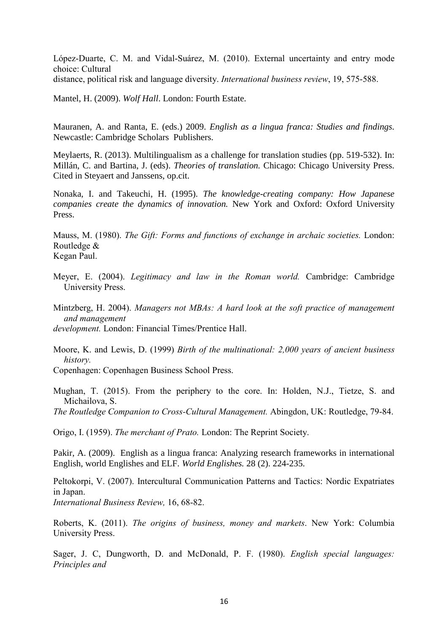López-Duarte, C. M. and Vidal-Suárez, M. (2010). External uncertainty and entry mode choice: Cultural distance, political risk and language diversity. *International business review*, 19, 575-588.

Mantel, H. (2009). *Wolf Hall*. London: Fourth Estate.

Mauranen, A. and Ranta, E. (eds.) 2009. *English as a lingua franca: Studies and findings.* Newcastle: Cambridge Scholars Publishers.

Meylaerts, R. (2013). Multilingualism as a challenge for translation studies (pp. 519-532). In: Millán, C. and Bartina, J. (eds). *Theories of translation.* Chicago: Chicago University Press. Cited in Steyaert and Janssens, op.cit.

Nonaka, I. and Takeuchi, H. (1995). *The knowledge-creating company: How Japanese companies create the dynamics of innovation.* New York and Oxford: Oxford University Press.

Mauss, M. (1980). *The Gift: Forms and functions of exchange in archaic societies.* London: Routledge & Kegan Paul.

Meyer, E. (2004). *Legitimacy and law in the Roman world.* Cambridge: Cambridge University Press.

Mintzberg, H. 2004). *Managers not MBAs: A hard look at the soft practice of management and management* 

*development.* London: Financial Times/Prentice Hall.

Moore, K. and Lewis, D. (1999) *Birth of the multinational: 2,000 years of ancient business history.*

Copenhagen: Copenhagen Business School Press.

Mughan, T. (2015). From the periphery to the core. In: Holden, N.J., Tietze, S. and Michailova, S.

*The Routledge Companion to Cross-Cultural Management.* Abingdon, UK: Routledge, 79-84.

Origo, I. (1959). *The merchant of Prato.* London: The Reprint Society.

Pakir, A. (2009). English as a lingua franca: Analyzing research frameworks in international English, world Englishes and ELF. *World Englishes.* 28 (2). 224-235.

Peltokorpi, V. (2007). Intercultural Communication Patterns and Tactics: Nordic Expatriates in Japan.

*International Business Review,* 16, 68-82.

Roberts, K. (2011). *The origins of business, money and markets*. New York: Columbia University Press.

Sager, J. C, Dungworth, D. and McDonald, P. F. (1980). *English special languages: Principles and*